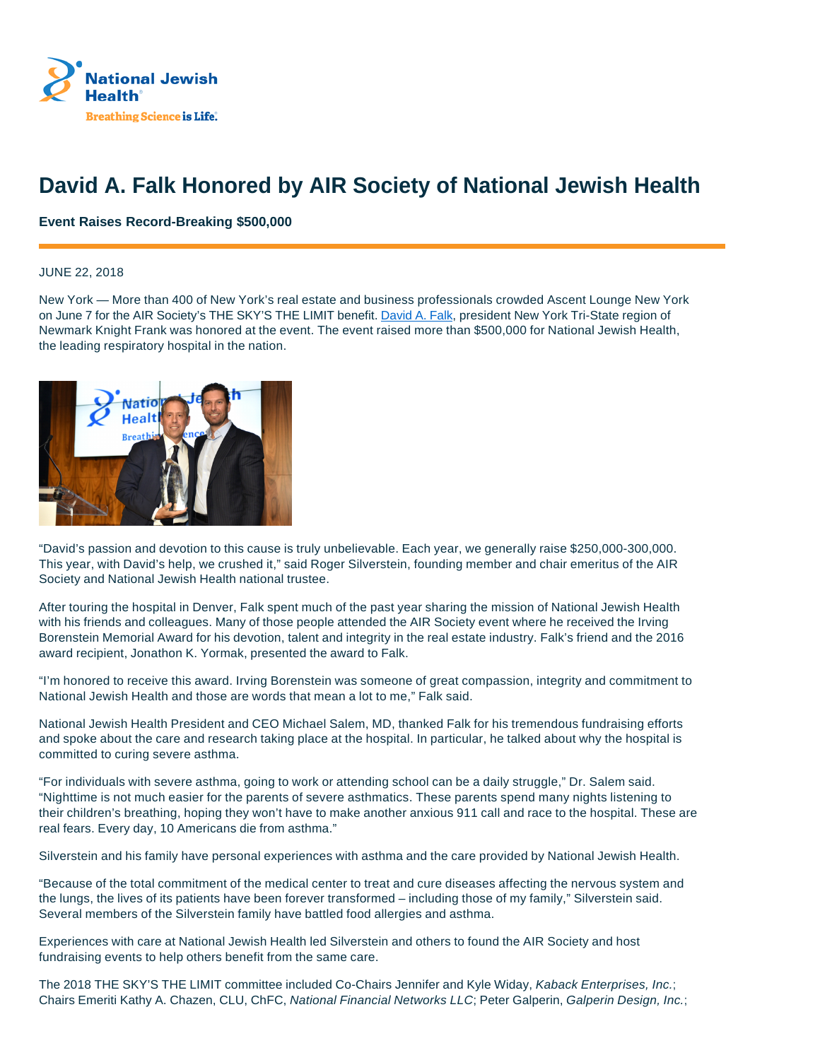

## **David A. Falk Honored by AIR Society of National Jewish Health**

## **Event Raises Record-Breaking \$500,000**

## JUNE 22, 2018

New York — More than 400 of New York's real estate and business professionals crowded Ascent Lounge New York on June 7 for the AIR Society's THE SKY'S THE LIMIT benefit. David A. Falk, president New York Tri-State region of Newmark Knight Frank was honored at the event. The event raised more than \$500,000 for National Jewish Health, the leading respiratory hospital in the nation.



"David's passion and devotion to this cause is truly unbelievable. Each year, we generally raise \$250,000-300,000. This year, with David's help, we crushed it," said Roger Silverstein, founding member and chair emeritus of the AIR Society and National Jewish Health national trustee.

After touring the hospital in Denver, Falk spent much of the past year sharing the mission of National Jewish Health with his friends and colleagues. Many of those people attended the AIR Society event where he received the Irving Borenstein Memorial Award for his devotion, talent and integrity in the real estate industry. Falk's friend and the 2016 award recipient, Jonathon K. Yormak, presented the award to Falk.

"I'm honored to receive this award. Irving Borenstein was someone of great compassion, integrity and commitment to National Jewish Health and those are words that mean a lot to me," Falk said.

National Jewish Health President and CEO Michael Salem, MD, thanked Falk for his tremendous fundraising efforts and spoke about the care and research taking place at the hospital. In particular, he talked about why the hospital is committed to curing severe asthma.

"For individuals with severe asthma, going to work or attending school can be a daily struggle," Dr. Salem said. "Nighttime is not much easier for the parents of severe asthmatics. These parents spend many nights listening to their children's breathing, hoping they won't have to make another anxious 911 call and race to the hospital. These are real fears. Every day, 10 Americans die from asthma."

Silverstein and his family have personal experiences with asthma and the care provided by National Jewish Health.

"Because of the total commitment of the medical center to treat and cure diseases affecting the nervous system and the lungs, the lives of its patients have been forever transformed – including those of my family," Silverstein said. Several members of the Silverstein family have battled food allergies and asthma.

Experiences with care at National Jewish Health led Silverstein and others to found the AIR Society and host fundraising events to help others benefit from the same care.

The 2018 THE SKY'S THE LIMIT committee included Co-Chairs Jennifer and Kyle Widay, Kaback Enterprises, Inc.; Chairs Emeriti Kathy A. Chazen, CLU, ChFC, National Financial Networks LLC; Peter Galperin, Galperin Design, Inc.;